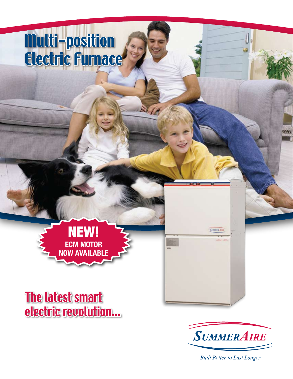## Multi-position Electric Furnace



The latest smart electric revolution...



Searuracti

**Built Better to Last Longer**